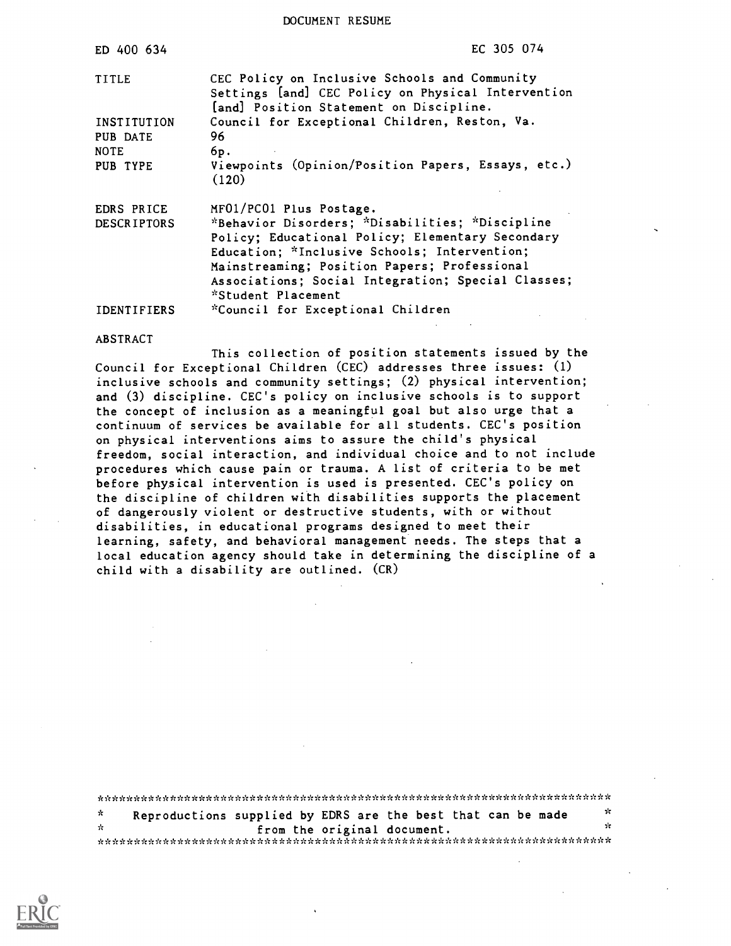DOCUMENT RESUME

| ED 400 634         | EC 305 074                                                                                                                                     |
|--------------------|------------------------------------------------------------------------------------------------------------------------------------------------|
| TITLE              | CEC Policy on Inclusive Schools and Community<br>Settings [and] CEC Policy on Physical Intervention<br>[and] Position Statement on Discipline. |
| INSTITUTION        | Council for Exceptional Children, Reston, Va.                                                                                                  |
| PUB DATE           | 96                                                                                                                                             |
| <b>NOTE</b>        | 6р.                                                                                                                                            |
| PUB TYPE           | Viewpoints (Opinion/Position Papers, Essays, etc.)<br>(120)                                                                                    |
| EDRS PRICE         | MF01/PC01 Plus Postage.                                                                                                                        |
| <b>DESCRIPTORS</b> | *Behavior Disorders; *Disabilities; *Discipline                                                                                                |
|                    | Policy; Educational Policy; Elementary Secondary                                                                                               |
|                    | Education; *Inclusive Schools; Intervention;                                                                                                   |
|                    | Mainstreaming; Position Papers; Professional                                                                                                   |
|                    | Associations; Social Integration; Special Classes;                                                                                             |
|                    | "Student Placement                                                                                                                             |
| IDENTIFIERS        | *Council for Exceptional Children                                                                                                              |

#### ABSTRACT

This collection of position statements issued by the Council for Exceptional Children (CEC) addresses three issues: (1) inclusive schools and community settings; (2) physical intervention; and (3) discipline. CEC's policy on inclusive schools is to support the concept of inclusion as a meaningful goal but also urge that a continuum of services be available for all students. CEC's position on physical interventions aims to assure the child's physical freedom, social interaction, and individual choice and to not include procedures which cause pain or trauma. A list of criteria to be met before physical intervention is used is presented. CEC's policy on the discipline of children with disabilities supports the placement of dangerously violent or destructive students, with or without disabilities, in educational programs designed to meet their learning, safety, and behavioral management needs. The steps that a local education agency should take in determining the discipline of a child with a disability are outlined. (CR)

| - 95 - | Reproductions supplied by EDRS are the best that can be made |                             |  |  | -90 |
|--------|--------------------------------------------------------------|-----------------------------|--|--|-----|
| - de   |                                                              | from the original document. |  |  | 70  |
|        |                                                              |                             |  |  |     |

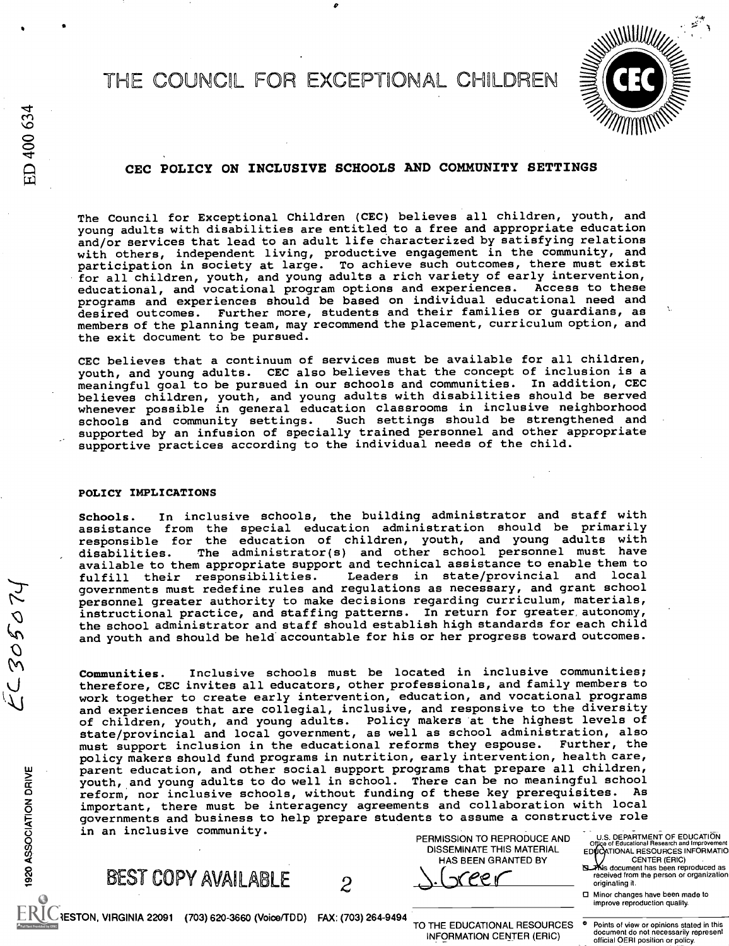THE COUNCIL FOR EXCEPTIONAL CHILDREN



#### CEC POLICY ON INCLUSIVE SCHOOLS AND COMMUNITY SETTINGS

 $\mathcal{Q}$  and  $\mathcal{Q}$ 

The Council for Exceptional Children (CEC) believes all children, youth, and young adults with disabilities are entitled to a free and appropriate education and/or services that lead to an adult life characterized by satisfying relations with others, independent living, productive engagement in the community, and participation in society at large. To achieve such outcomes, there must exist for all children, youth, and young adults a rich variety of early intervention, educational, and vocational program options and experiences. Access to these programs and experiences should be based on individual educational need and desired outcomes. Further more, students and their families or guardians, as members of the planning team, may recommend the placement, curriculum option, and the exit document to be pursued.

CEC believes that a continuum of services must be available for all children, youth, and young adults. CEC also believes that the concept of inclusion is a meaningful goal to be pursued in our schools and communities. In addition, CEC believes children, youth, and young adults with disabilities should be served whenever possible in general education classrooms in inclusive neighborhood schools and community settings. Such settings should be strengthened and supported by an infusion of specially trained personnel and other appropriate supportive practices according to the individual needs of the child.

#### POLICY IMPLICATIONS

BEST COPY AVAILABLE 2

Schools. In inclusive schools, the building administrator and staff with assistance from the special education administration should be primarily responsible for the education of children, youth, and young adults with disabilities. The administrator(s) and other school personnel must have available to them appropriate support and technical assistance to enable them to fulfill their responsibilities. Leaders in state/provincial and local governments must redefine rules and regulations as necessary, and grant school personnel greater authority to make decisions regarding curriculum, materials, instructional practice, and staffing patterns. In return for greater autonomy, the school administrator and staff should establish high standards for each child and youth and should be held accountable for his or her progress toward outcomes.

Communities. Inclusive schools must be located in inclusive communities; therefore, CEC invites all educators, other professionals, and family members to work together to create early intervention, education, and vocational programs and experiences that are collegial, inclusive, and responsive to the diversity of children, youth, and young adults. Policy makers at the highest levels of state/provincial and local government, as well as school administration, also must support inclusion in the educational reforms they espouse. Further, the policy makers should fund programs in nutrition, early intervention, health care, parent education, and other social support programs that prepare all children, youth, and young adults to do well in school. There can be no meaningful school reform, nor inclusive schools, without funding of these key prerequisites. As important, there must be interagency agreements and collaboration with local governments and business to help prepare students to assume a constructive role in an inclusive community.

PERMISSION TO REPRODUCE AND DISSEMINATE THIS MATERIAL HAS BEEN GRANTED BY  $Green$ 

INFORMATION CENTER (ERIC)

U.S. DEPARTMENT OF EDUCATION<br>Office of Educational Research and Improvement ED CATIONAL RESOURCES INFORMATIO

- CENTER (ERIC) s document has been reproduced as received from the person or organization originating it.
- Minor changes have been made to improve reproduction quality.
- $\overline{\bullet}$  RESTON, VIRGINIA 22091 (703) 620-3660 (Voice/TDD) FAX: (703) 264-9494  $\overline{\phantom{a}}$  to the educational resources  $\overline{\phantom{a}}$ Points of view or opinions stated in this document do not necessarily represent official OERI position or policy.

 $305074$ 

ED 400 634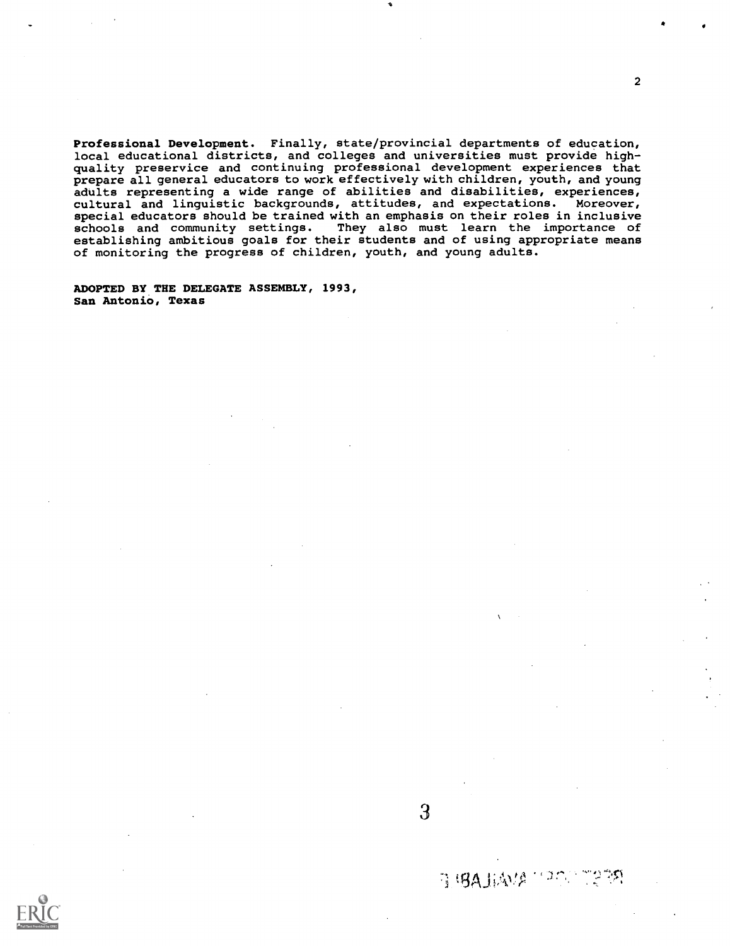Professional Development. Finally, state/provincial departments of education, local educational districts, and colleges and universities must provide highquality preservice and continuing professional development experiences that prepare all general educators to work effectively with children, youth, and young adults representing a wide range of abilities and disabilities, experiences, cultural and linguistic backgrounds, attitudes, and expectations. Moreover, special educators should be trained with an emphasis on their roles in inclusive schools and community settings. They also must learn the importance of establishing ambitious goals for their students and of using appropriate means of monitoring the progress of children, youth, and young adults.

3

**BURA HAVA MPOL TRRR** 

ADOPTED BY THE DELEGATE ASSEMBLY, 1993, San Antonio, Texas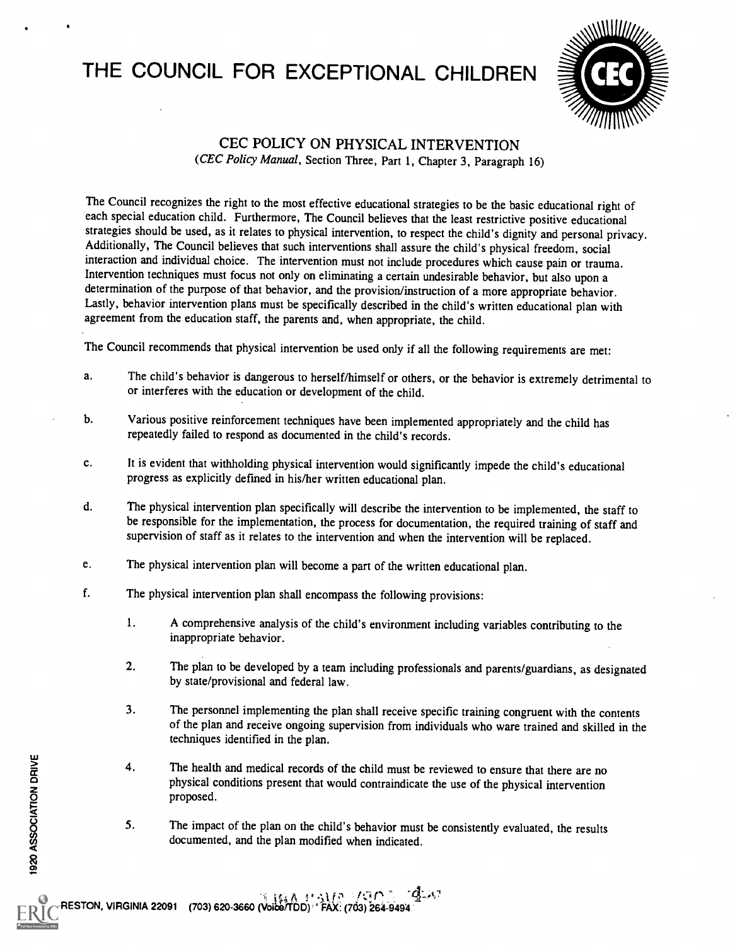# THE COUNCIL FOR EXCEPTIONAL CHILDREN



#### CEC POLICY ON PHYSICAL INTERVENTION (CEC Policy Manual, Section Three, Part 1, Chapter 3, Paragraph 16)

The Council recognizes the right to the most effective educational strategies to be the basic educational right of each special education child. Furthermore, The Council believes that the least restrictive positive educational strategies should be used, as it relates to physical intervention, to respect the child's dignity and personal privacy. Additionally, The Council believes that such interventions shall assure the child's physical freedom, social interaction and individual choice. The intervention must not include procedures which cause pain or trauma. Intervention techniques must focus not only on eliminating a certain undesirable behavior, but also upon a determination of the purpose of that behavior, and the provision/instruction of a more appropriate behavior. Lastly, behavior intervention plans must be specifically described in the child's written educational plan with agreement from the education staff, the parents and, when appropriate, the child.

The Council recommends that physical intervention be used only if all the following requirements are met:

- a. The child's behavior is dangerous to herself/himself or others, or the behavior is extremely detrimental to or interferes with the education or development of the child.
- b. Various positive reinforcement techniques have been implemented appropriately and the child has repeatedly failed to respond as documented in the child's records.
- c. It is evident that withholding physical intervention would significantly impede the child's educational progress as explicitly defined in his/her written educational plan.
- d. The physical intervention plan specifically will describe the intervention to be implemented, the staff to be responsible for the implementation, the process for documentation, the required training of staff and supervision of staff as it relates to the intervention and when the intervention will be replaced.
- e. The physical intervention plan will become a part of the written educational plan.
- f. The physical intervention plan shall encompass the following provisions:
	- 1. A comprehensive analysis of the child's environment including variables contributing to the inappropriate behavior.
	- 2. The plan to be developed by a team including professionals and parents/guardians, as designated by state/provisional and federal law.
	- 3. The personnel implementing the plan shall receive specific training congruent with the contents of the plan and receive ongoing supervision from individuals who ware trained and skilled in the techniques identified in the plan.
	- 4. The health and medical records of the child must be reviewed to ensure that there are no physical conditions present that would contraindicate the use of the physical intervention proposed.
	- 5. The impact of the plan on the child's behavior must be consistently evaluated, the results documented, and the plan modified when indicated.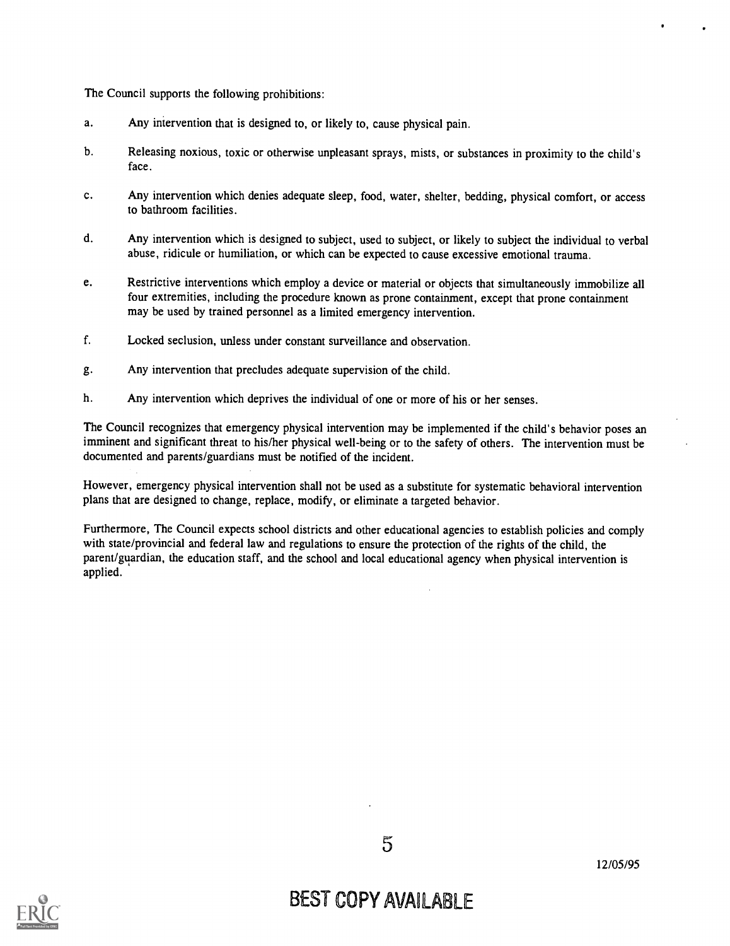The Council supports the following prohibitions:

- a. Any intervention that is designed to, or likely to, cause physical pain.
- b. Releasing noxious, toxic or otherwise unpleasant sprays, mists, or substances in proximity to the child's face.
- c. Any intervention which denies adequate sleep, food, water, shelter, bedding, physical comfort, or access to bathroom facilities.
- d. Any intervention which is designed to subject, used to subject, or likely to subject the individual to verbal abuse, ridicule or humiliation, or which can be expected to cause excessive emotional trauma.
- e. Restrictive interventions which employ a device or material or objects that simultaneously immobilize all four extremities, including the procedure known as prone containment, except that prone containment may be used by trained personnel as a limited emergency intervention.
- f. Locked seclusion, unless under constant surveillance and observation.
- g. Any intervention that precludes adequate supervision of the child.
- h. Any intervention which deprives the individual of one or more of his or her senses.

The Council recognizes that emergency physical intervention may be implemented if the child's behavior poses an imminent and significant threat to his/her physical well-being or to the safety of others. The intervention must be documented and parents/guardians must be notified of the incident.

However, emergency physical intervention shall not be used as a substitute for systematic behavioral intervention plans that are designed to change, replace, modify, or eliminate a targeted behavior.

Furthermore, The Council expects school districts and other educational agencies to establish policies and comply with state/provincial and federal law and regulations to ensure the protection of the rights of the child, the parent/guardian, the education staff, and the school and local educational agency when physical intervention is applied.



5

## BEST COPY AVAIL ARLE

12/05/95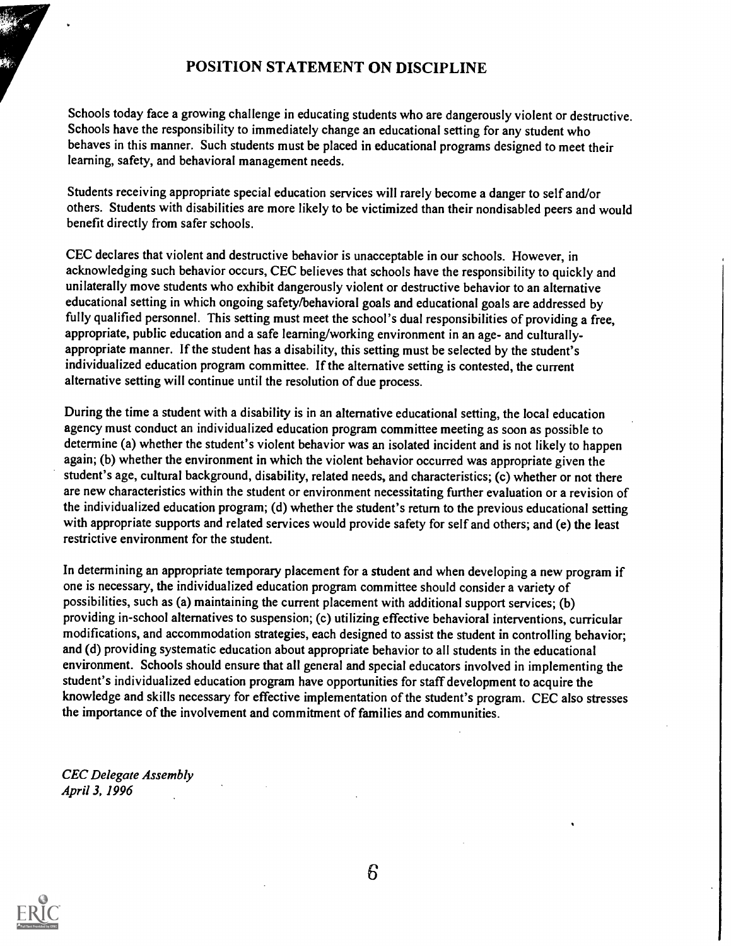### POSITION STATEMENT ON DISCIPLINE

Schools today face a growing challenge in educating students who are dangerously violent or destructive. Schools have the responsibility to immediately change an educational setting for any student who behaves in this manner. Such students must be placed in educational programs designed to meet their learning, safety, and behavioral management needs.

Students receiving appropriate special education services will rarely become a danger to self and/or others. Students with disabilities are more likely to be victimized than their nondisabled peers and would benefit directly from safer schools.

CEC declares that violent and destructive behavior is unacceptable in our schools. However, in acknowledging such behavior occurs, CEC believes that schools have the responsibility to quickly and unilaterally move students who exhibit dangerously violent or destructive behavior to an alternative educational setting in which ongoing safety/behavioral goals and educational goals are addressed by fully qualified personnel. This setting must meet the school's dual responsibilities of providing a free, appropriate, public education and a safe learning/working environment in an age- and culturallyappropriate manner. If the student has a disability, this setting must be selected by the student's individualized education program committee. If the alternative setting is contested, the current alternative setting will continue until the resolution of due process.

During the time a student with a disability is in an alternative educational setting, the local education agency must conduct an individualized education program committee meeting as soon as possible to determine (a) whether the student's violent behavior was an isolated incident and is not likely to happen again; (b) whether the environment in which the violent behavior occurred was appropriate given the student's age, cultural background, disability, related needs, and characteristics; (c) whether or not there are new characteristics within the student or environment necessitating further evaluation or a revision of the individualized education program; (d) whether the student's return to the previous educational setting with appropriate supports and related services would provide safety for self and others; and (e) the least restrictive environment for the student.

In determining an appropriate temporary placement for a student and when developing a new program if one is necessary, the individualized education program committee should consider a variety of possibilities, such as (a) maintaining the current placement with additional support services; (b) providing in-school alternatives to suspension; (c) utilizing effective behavioral interventions, curricular modifications, and accommodation strategies, each designed to assist the student in controlling behavior; and (d) providing systematic education about appropriate behavior to all students in the educational environment. Schools should ensure that all general and special educators involved in implementing the student's individualized education program have opportunities for staff development to acquire the knowledge and skills necessary for effective implementation of the student's program. CEC also stresses the importance of the involvement and commitment of families and communities.

CEC Delegate Assembly April3, 1996